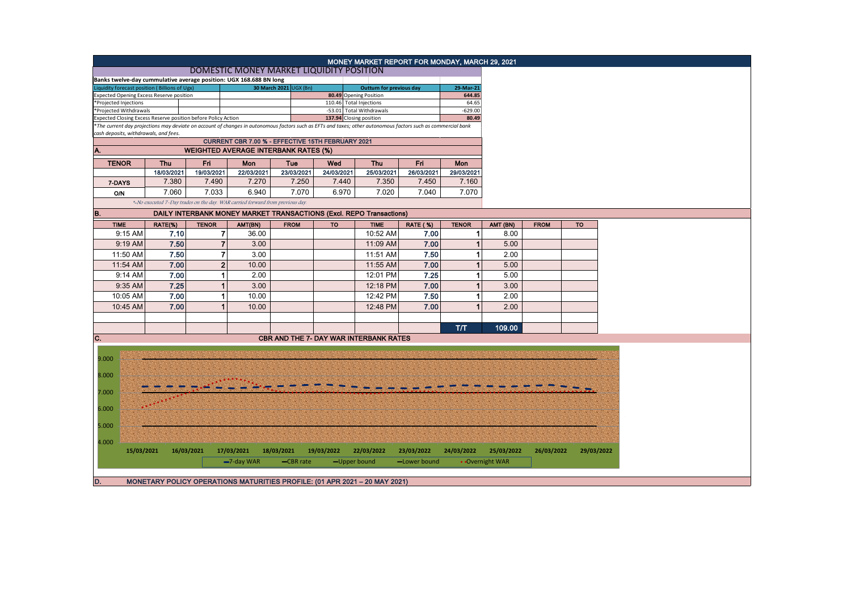| MONEY MARKET REPORT FOR MONDAY, MARCH 29, 2021<br>DOMESTIC MONEY MARKET LIQUIDITY POSITION<br>Banks twelve-day cummulative average position: UGX 168.688 BN long<br>Liquidity forecast position (Billions of Ugx)<br>30 March 2021 UGX (Bn)<br>29-Mar-21<br><b>Outturn for previous day</b><br><b>Expected Opening Excess Reserve position</b><br>80.49 Opening Position<br>644.85<br>110.46 Total Injections<br>64.65<br>*Projected Injections<br>-53.01 Total Withdrawals<br>$-629.00$<br>*Projected Withdrawals<br>Expected Closing Excess Reserve position before Policy Action<br>137.94 Closing position<br>80.49<br>*The current day projections may deviate on account of changes in autonomous factors such as EFTs and taxes; other autonomous factors such as commercial bank<br>CURRENT CBR 7.00 % - EFFECTIVE 15TH FEBRUARY 2021<br><b>WEIGHTED AVERAGE INTERBANK RATES (%)</b><br><b>TENOR</b><br>Thu<br>Fri<br>Mon<br>Thu<br>Fri<br>Tue<br>Wed<br>Mon<br>18/03/2021<br>19/03/2021<br>22/03/2021<br>23/03/2021<br>24/03/2021<br>25/03/2021<br>26/03/2021<br>29/03/2021<br>7.380<br>7.270<br>7.250<br>7.350<br>7.490<br>7.440<br>7.450<br>7.160<br>7-DAYS<br>7.060<br>7.033<br>6.940<br>7.070<br>6.970<br>7.020<br>7.070<br>7.040<br><b>O/N</b><br>*-No executed 7-Day trades on the day. WAR carried forward from previous day.<br>DAILY INTERBANK MONEY MARKET TRANSACTIONS (Excl. REPO Transactions)<br><b>TIME</b><br><b>RATE (%)</b><br><b>TENOR</b><br><b>FROM</b><br><b>TO</b><br>RATE(%)<br><b>TENOR</b><br>AMT(BN)<br><b>FROM</b><br><b>TO</b><br><b>TIME</b><br>AMT (BN)<br>10:52 AM<br>9:15 AM<br>7.10<br>$\overline{7}$<br>7.00<br>8.00<br>36.00<br>1<br>7.50<br>$\overline{7}$<br>7.00<br>3.00<br>11:09 AM<br>5.00<br>9:19 AM<br>$\overline{7}$<br>7.50<br>3.00<br>2.00<br>11:50 AM<br>11:51 AM<br>7.50<br>1<br>$\overline{2}$<br>11:54 AM<br>7.00<br>11:55 AM<br>7.00<br>5.00<br>10.00<br>7.00<br>$\mathbf{1}$<br>2.00<br>12:01 PM<br>7.25<br>1<br>5.00<br>9:14 AM<br>7.25<br>3.00<br>7.00<br>3.00<br>9:35 AM<br>$\mathbf{1}$<br>12:18 PM<br>1<br>7.00<br>$\mathbf{1}$<br>7.50<br>2.00<br>10:05 AM<br>10.00<br>12:42 PM<br>1<br>7.00<br>2.00<br>10:45 AM<br>$\mathbf{1}$<br>10.00<br>12:48 PM<br>7.00<br>1<br>T/T<br>109.00<br><b>CBR AND THE 7- DAY WAR INTERBANK RATES</b><br>9.000<br>5.000<br>4.000<br>16/03/2021<br>17/03/2021<br>24/03/2022<br>15/03/2021<br>18/03/2021<br>19/03/2022<br>22/03/2022<br>23/03/2022<br>25/03/2022<br>26/03/2022<br>29/03/2022<br>$-7$ -day WAR<br>• Overnight WAR<br>-CBR rate<br>-Upper bound<br>-Lower bound<br>D.<br>MONETARY POLICY OPERATIONS MATURITIES PROFILE: (01 APR 2021 - 20 MAY 2021) |                                       |  |  |  |  |  |  |  |  |  |  |
|-------------------------------------------------------------------------------------------------------------------------------------------------------------------------------------------------------------------------------------------------------------------------------------------------------------------------------------------------------------------------------------------------------------------------------------------------------------------------------------------------------------------------------------------------------------------------------------------------------------------------------------------------------------------------------------------------------------------------------------------------------------------------------------------------------------------------------------------------------------------------------------------------------------------------------------------------------------------------------------------------------------------------------------------------------------------------------------------------------------------------------------------------------------------------------------------------------------------------------------------------------------------------------------------------------------------------------------------------------------------------------------------------------------------------------------------------------------------------------------------------------------------------------------------------------------------------------------------------------------------------------------------------------------------------------------------------------------------------------------------------------------------------------------------------------------------------------------------------------------------------------------------------------------------------------------------------------------------------------------------------------------------------------------------------------------------------------------------------------------------------------------------------------------------------------------------------------------------------------------------------------------------------------------------------------------------------------------------------------------------------------------------------------------------------------------------------------------------------------------------------------------------------------------------------------------------------------------------------------------------------------------------------------------------|---------------------------------------|--|--|--|--|--|--|--|--|--|--|
|                                                                                                                                                                                                                                                                                                                                                                                                                                                                                                                                                                                                                                                                                                                                                                                                                                                                                                                                                                                                                                                                                                                                                                                                                                                                                                                                                                                                                                                                                                                                                                                                                                                                                                                                                                                                                                                                                                                                                                                                                                                                                                                                                                                                                                                                                                                                                                                                                                                                                                                                                                                                                                                                   |                                       |  |  |  |  |  |  |  |  |  |  |
|                                                                                                                                                                                                                                                                                                                                                                                                                                                                                                                                                                                                                                                                                                                                                                                                                                                                                                                                                                                                                                                                                                                                                                                                                                                                                                                                                                                                                                                                                                                                                                                                                                                                                                                                                                                                                                                                                                                                                                                                                                                                                                                                                                                                                                                                                                                                                                                                                                                                                                                                                                                                                                                                   |                                       |  |  |  |  |  |  |  |  |  |  |
|                                                                                                                                                                                                                                                                                                                                                                                                                                                                                                                                                                                                                                                                                                                                                                                                                                                                                                                                                                                                                                                                                                                                                                                                                                                                                                                                                                                                                                                                                                                                                                                                                                                                                                                                                                                                                                                                                                                                                                                                                                                                                                                                                                                                                                                                                                                                                                                                                                                                                                                                                                                                                                                                   |                                       |  |  |  |  |  |  |  |  |  |  |
|                                                                                                                                                                                                                                                                                                                                                                                                                                                                                                                                                                                                                                                                                                                                                                                                                                                                                                                                                                                                                                                                                                                                                                                                                                                                                                                                                                                                                                                                                                                                                                                                                                                                                                                                                                                                                                                                                                                                                                                                                                                                                                                                                                                                                                                                                                                                                                                                                                                                                                                                                                                                                                                                   |                                       |  |  |  |  |  |  |  |  |  |  |
|                                                                                                                                                                                                                                                                                                                                                                                                                                                                                                                                                                                                                                                                                                                                                                                                                                                                                                                                                                                                                                                                                                                                                                                                                                                                                                                                                                                                                                                                                                                                                                                                                                                                                                                                                                                                                                                                                                                                                                                                                                                                                                                                                                                                                                                                                                                                                                                                                                                                                                                                                                                                                                                                   |                                       |  |  |  |  |  |  |  |  |  |  |
|                                                                                                                                                                                                                                                                                                                                                                                                                                                                                                                                                                                                                                                                                                                                                                                                                                                                                                                                                                                                                                                                                                                                                                                                                                                                                                                                                                                                                                                                                                                                                                                                                                                                                                                                                                                                                                                                                                                                                                                                                                                                                                                                                                                                                                                                                                                                                                                                                                                                                                                                                                                                                                                                   |                                       |  |  |  |  |  |  |  |  |  |  |
|                                                                                                                                                                                                                                                                                                                                                                                                                                                                                                                                                                                                                                                                                                                                                                                                                                                                                                                                                                                                                                                                                                                                                                                                                                                                                                                                                                                                                                                                                                                                                                                                                                                                                                                                                                                                                                                                                                                                                                                                                                                                                                                                                                                                                                                                                                                                                                                                                                                                                                                                                                                                                                                                   |                                       |  |  |  |  |  |  |  |  |  |  |
|                                                                                                                                                                                                                                                                                                                                                                                                                                                                                                                                                                                                                                                                                                                                                                                                                                                                                                                                                                                                                                                                                                                                                                                                                                                                                                                                                                                                                                                                                                                                                                                                                                                                                                                                                                                                                                                                                                                                                                                                                                                                                                                                                                                                                                                                                                                                                                                                                                                                                                                                                                                                                                                                   |                                       |  |  |  |  |  |  |  |  |  |  |
|                                                                                                                                                                                                                                                                                                                                                                                                                                                                                                                                                                                                                                                                                                                                                                                                                                                                                                                                                                                                                                                                                                                                                                                                                                                                                                                                                                                                                                                                                                                                                                                                                                                                                                                                                                                                                                                                                                                                                                                                                                                                                                                                                                                                                                                                                                                                                                                                                                                                                                                                                                                                                                                                   | cash deposits, withdrawals, and fees. |  |  |  |  |  |  |  |  |  |  |
|                                                                                                                                                                                                                                                                                                                                                                                                                                                                                                                                                                                                                                                                                                                                                                                                                                                                                                                                                                                                                                                                                                                                                                                                                                                                                                                                                                                                                                                                                                                                                                                                                                                                                                                                                                                                                                                                                                                                                                                                                                                                                                                                                                                                                                                                                                                                                                                                                                                                                                                                                                                                                                                                   |                                       |  |  |  |  |  |  |  |  |  |  |
|                                                                                                                                                                                                                                                                                                                                                                                                                                                                                                                                                                                                                                                                                                                                                                                                                                                                                                                                                                                                                                                                                                                                                                                                                                                                                                                                                                                                                                                                                                                                                                                                                                                                                                                                                                                                                                                                                                                                                                                                                                                                                                                                                                                                                                                                                                                                                                                                                                                                                                                                                                                                                                                                   | A.                                    |  |  |  |  |  |  |  |  |  |  |
|                                                                                                                                                                                                                                                                                                                                                                                                                                                                                                                                                                                                                                                                                                                                                                                                                                                                                                                                                                                                                                                                                                                                                                                                                                                                                                                                                                                                                                                                                                                                                                                                                                                                                                                                                                                                                                                                                                                                                                                                                                                                                                                                                                                                                                                                                                                                                                                                                                                                                                                                                                                                                                                                   |                                       |  |  |  |  |  |  |  |  |  |  |
|                                                                                                                                                                                                                                                                                                                                                                                                                                                                                                                                                                                                                                                                                                                                                                                                                                                                                                                                                                                                                                                                                                                                                                                                                                                                                                                                                                                                                                                                                                                                                                                                                                                                                                                                                                                                                                                                                                                                                                                                                                                                                                                                                                                                                                                                                                                                                                                                                                                                                                                                                                                                                                                                   |                                       |  |  |  |  |  |  |  |  |  |  |
|                                                                                                                                                                                                                                                                                                                                                                                                                                                                                                                                                                                                                                                                                                                                                                                                                                                                                                                                                                                                                                                                                                                                                                                                                                                                                                                                                                                                                                                                                                                                                                                                                                                                                                                                                                                                                                                                                                                                                                                                                                                                                                                                                                                                                                                                                                                                                                                                                                                                                                                                                                                                                                                                   |                                       |  |  |  |  |  |  |  |  |  |  |
|                                                                                                                                                                                                                                                                                                                                                                                                                                                                                                                                                                                                                                                                                                                                                                                                                                                                                                                                                                                                                                                                                                                                                                                                                                                                                                                                                                                                                                                                                                                                                                                                                                                                                                                                                                                                                                                                                                                                                                                                                                                                                                                                                                                                                                                                                                                                                                                                                                                                                                                                                                                                                                                                   |                                       |  |  |  |  |  |  |  |  |  |  |
|                                                                                                                                                                                                                                                                                                                                                                                                                                                                                                                                                                                                                                                                                                                                                                                                                                                                                                                                                                                                                                                                                                                                                                                                                                                                                                                                                                                                                                                                                                                                                                                                                                                                                                                                                                                                                                                                                                                                                                                                                                                                                                                                                                                                                                                                                                                                                                                                                                                                                                                                                                                                                                                                   |                                       |  |  |  |  |  |  |  |  |  |  |
|                                                                                                                                                                                                                                                                                                                                                                                                                                                                                                                                                                                                                                                                                                                                                                                                                                                                                                                                                                                                                                                                                                                                                                                                                                                                                                                                                                                                                                                                                                                                                                                                                                                                                                                                                                                                                                                                                                                                                                                                                                                                                                                                                                                                                                                                                                                                                                                                                                                                                                                                                                                                                                                                   |                                       |  |  |  |  |  |  |  |  |  |  |
|                                                                                                                                                                                                                                                                                                                                                                                                                                                                                                                                                                                                                                                                                                                                                                                                                                                                                                                                                                                                                                                                                                                                                                                                                                                                                                                                                                                                                                                                                                                                                                                                                                                                                                                                                                                                                                                                                                                                                                                                                                                                                                                                                                                                                                                                                                                                                                                                                                                                                                                                                                                                                                                                   | B.                                    |  |  |  |  |  |  |  |  |  |  |
|                                                                                                                                                                                                                                                                                                                                                                                                                                                                                                                                                                                                                                                                                                                                                                                                                                                                                                                                                                                                                                                                                                                                                                                                                                                                                                                                                                                                                                                                                                                                                                                                                                                                                                                                                                                                                                                                                                                                                                                                                                                                                                                                                                                                                                                                                                                                                                                                                                                                                                                                                                                                                                                                   |                                       |  |  |  |  |  |  |  |  |  |  |
|                                                                                                                                                                                                                                                                                                                                                                                                                                                                                                                                                                                                                                                                                                                                                                                                                                                                                                                                                                                                                                                                                                                                                                                                                                                                                                                                                                                                                                                                                                                                                                                                                                                                                                                                                                                                                                                                                                                                                                                                                                                                                                                                                                                                                                                                                                                                                                                                                                                                                                                                                                                                                                                                   |                                       |  |  |  |  |  |  |  |  |  |  |
|                                                                                                                                                                                                                                                                                                                                                                                                                                                                                                                                                                                                                                                                                                                                                                                                                                                                                                                                                                                                                                                                                                                                                                                                                                                                                                                                                                                                                                                                                                                                                                                                                                                                                                                                                                                                                                                                                                                                                                                                                                                                                                                                                                                                                                                                                                                                                                                                                                                                                                                                                                                                                                                                   |                                       |  |  |  |  |  |  |  |  |  |  |
|                                                                                                                                                                                                                                                                                                                                                                                                                                                                                                                                                                                                                                                                                                                                                                                                                                                                                                                                                                                                                                                                                                                                                                                                                                                                                                                                                                                                                                                                                                                                                                                                                                                                                                                                                                                                                                                                                                                                                                                                                                                                                                                                                                                                                                                                                                                                                                                                                                                                                                                                                                                                                                                                   |                                       |  |  |  |  |  |  |  |  |  |  |
|                                                                                                                                                                                                                                                                                                                                                                                                                                                                                                                                                                                                                                                                                                                                                                                                                                                                                                                                                                                                                                                                                                                                                                                                                                                                                                                                                                                                                                                                                                                                                                                                                                                                                                                                                                                                                                                                                                                                                                                                                                                                                                                                                                                                                                                                                                                                                                                                                                                                                                                                                                                                                                                                   |                                       |  |  |  |  |  |  |  |  |  |  |
|                                                                                                                                                                                                                                                                                                                                                                                                                                                                                                                                                                                                                                                                                                                                                                                                                                                                                                                                                                                                                                                                                                                                                                                                                                                                                                                                                                                                                                                                                                                                                                                                                                                                                                                                                                                                                                                                                                                                                                                                                                                                                                                                                                                                                                                                                                                                                                                                                                                                                                                                                                                                                                                                   |                                       |  |  |  |  |  |  |  |  |  |  |
|                                                                                                                                                                                                                                                                                                                                                                                                                                                                                                                                                                                                                                                                                                                                                                                                                                                                                                                                                                                                                                                                                                                                                                                                                                                                                                                                                                                                                                                                                                                                                                                                                                                                                                                                                                                                                                                                                                                                                                                                                                                                                                                                                                                                                                                                                                                                                                                                                                                                                                                                                                                                                                                                   |                                       |  |  |  |  |  |  |  |  |  |  |
|                                                                                                                                                                                                                                                                                                                                                                                                                                                                                                                                                                                                                                                                                                                                                                                                                                                                                                                                                                                                                                                                                                                                                                                                                                                                                                                                                                                                                                                                                                                                                                                                                                                                                                                                                                                                                                                                                                                                                                                                                                                                                                                                                                                                                                                                                                                                                                                                                                                                                                                                                                                                                                                                   |                                       |  |  |  |  |  |  |  |  |  |  |
|                                                                                                                                                                                                                                                                                                                                                                                                                                                                                                                                                                                                                                                                                                                                                                                                                                                                                                                                                                                                                                                                                                                                                                                                                                                                                                                                                                                                                                                                                                                                                                                                                                                                                                                                                                                                                                                                                                                                                                                                                                                                                                                                                                                                                                                                                                                                                                                                                                                                                                                                                                                                                                                                   |                                       |  |  |  |  |  |  |  |  |  |  |
|                                                                                                                                                                                                                                                                                                                                                                                                                                                                                                                                                                                                                                                                                                                                                                                                                                                                                                                                                                                                                                                                                                                                                                                                                                                                                                                                                                                                                                                                                                                                                                                                                                                                                                                                                                                                                                                                                                                                                                                                                                                                                                                                                                                                                                                                                                                                                                                                                                                                                                                                                                                                                                                                   |                                       |  |  |  |  |  |  |  |  |  |  |
|                                                                                                                                                                                                                                                                                                                                                                                                                                                                                                                                                                                                                                                                                                                                                                                                                                                                                                                                                                                                                                                                                                                                                                                                                                                                                                                                                                                                                                                                                                                                                                                                                                                                                                                                                                                                                                                                                                                                                                                                                                                                                                                                                                                                                                                                                                                                                                                                                                                                                                                                                                                                                                                                   |                                       |  |  |  |  |  |  |  |  |  |  |
|                                                                                                                                                                                                                                                                                                                                                                                                                                                                                                                                                                                                                                                                                                                                                                                                                                                                                                                                                                                                                                                                                                                                                                                                                                                                                                                                                                                                                                                                                                                                                                                                                                                                                                                                                                                                                                                                                                                                                                                                                                                                                                                                                                                                                                                                                                                                                                                                                                                                                                                                                                                                                                                                   |                                       |  |  |  |  |  |  |  |  |  |  |
|                                                                                                                                                                                                                                                                                                                                                                                                                                                                                                                                                                                                                                                                                                                                                                                                                                                                                                                                                                                                                                                                                                                                                                                                                                                                                                                                                                                                                                                                                                                                                                                                                                                                                                                                                                                                                                                                                                                                                                                                                                                                                                                                                                                                                                                                                                                                                                                                                                                                                                                                                                                                                                                                   |                                       |  |  |  |  |  |  |  |  |  |  |
|                                                                                                                                                                                                                                                                                                                                                                                                                                                                                                                                                                                                                                                                                                                                                                                                                                                                                                                                                                                                                                                                                                                                                                                                                                                                                                                                                                                                                                                                                                                                                                                                                                                                                                                                                                                                                                                                                                                                                                                                                                                                                                                                                                                                                                                                                                                                                                                                                                                                                                                                                                                                                                                                   | C.                                    |  |  |  |  |  |  |  |  |  |  |
|                                                                                                                                                                                                                                                                                                                                                                                                                                                                                                                                                                                                                                                                                                                                                                                                                                                                                                                                                                                                                                                                                                                                                                                                                                                                                                                                                                                                                                                                                                                                                                                                                                                                                                                                                                                                                                                                                                                                                                                                                                                                                                                                                                                                                                                                                                                                                                                                                                                                                                                                                                                                                                                                   |                                       |  |  |  |  |  |  |  |  |  |  |
|                                                                                                                                                                                                                                                                                                                                                                                                                                                                                                                                                                                                                                                                                                                                                                                                                                                                                                                                                                                                                                                                                                                                                                                                                                                                                                                                                                                                                                                                                                                                                                                                                                                                                                                                                                                                                                                                                                                                                                                                                                                                                                                                                                                                                                                                                                                                                                                                                                                                                                                                                                                                                                                                   |                                       |  |  |  |  |  |  |  |  |  |  |
|                                                                                                                                                                                                                                                                                                                                                                                                                                                                                                                                                                                                                                                                                                                                                                                                                                                                                                                                                                                                                                                                                                                                                                                                                                                                                                                                                                                                                                                                                                                                                                                                                                                                                                                                                                                                                                                                                                                                                                                                                                                                                                                                                                                                                                                                                                                                                                                                                                                                                                                                                                                                                                                                   |                                       |  |  |  |  |  |  |  |  |  |  |
|                                                                                                                                                                                                                                                                                                                                                                                                                                                                                                                                                                                                                                                                                                                                                                                                                                                                                                                                                                                                                                                                                                                                                                                                                                                                                                                                                                                                                                                                                                                                                                                                                                                                                                                                                                                                                                                                                                                                                                                                                                                                                                                                                                                                                                                                                                                                                                                                                                                                                                                                                                                                                                                                   | 8.000                                 |  |  |  |  |  |  |  |  |  |  |
|                                                                                                                                                                                                                                                                                                                                                                                                                                                                                                                                                                                                                                                                                                                                                                                                                                                                                                                                                                                                                                                                                                                                                                                                                                                                                                                                                                                                                                                                                                                                                                                                                                                                                                                                                                                                                                                                                                                                                                                                                                                                                                                                                                                                                                                                                                                                                                                                                                                                                                                                                                                                                                                                   |                                       |  |  |  |  |  |  |  |  |  |  |
|                                                                                                                                                                                                                                                                                                                                                                                                                                                                                                                                                                                                                                                                                                                                                                                                                                                                                                                                                                                                                                                                                                                                                                                                                                                                                                                                                                                                                                                                                                                                                                                                                                                                                                                                                                                                                                                                                                                                                                                                                                                                                                                                                                                                                                                                                                                                                                                                                                                                                                                                                                                                                                                                   | 7.000                                 |  |  |  |  |  |  |  |  |  |  |
|                                                                                                                                                                                                                                                                                                                                                                                                                                                                                                                                                                                                                                                                                                                                                                                                                                                                                                                                                                                                                                                                                                                                                                                                                                                                                                                                                                                                                                                                                                                                                                                                                                                                                                                                                                                                                                                                                                                                                                                                                                                                                                                                                                                                                                                                                                                                                                                                                                                                                                                                                                                                                                                                   |                                       |  |  |  |  |  |  |  |  |  |  |
|                                                                                                                                                                                                                                                                                                                                                                                                                                                                                                                                                                                                                                                                                                                                                                                                                                                                                                                                                                                                                                                                                                                                                                                                                                                                                                                                                                                                                                                                                                                                                                                                                                                                                                                                                                                                                                                                                                                                                                                                                                                                                                                                                                                                                                                                                                                                                                                                                                                                                                                                                                                                                                                                   | 6.000                                 |  |  |  |  |  |  |  |  |  |  |
|                                                                                                                                                                                                                                                                                                                                                                                                                                                                                                                                                                                                                                                                                                                                                                                                                                                                                                                                                                                                                                                                                                                                                                                                                                                                                                                                                                                                                                                                                                                                                                                                                                                                                                                                                                                                                                                                                                                                                                                                                                                                                                                                                                                                                                                                                                                                                                                                                                                                                                                                                                                                                                                                   |                                       |  |  |  |  |  |  |  |  |  |  |
|                                                                                                                                                                                                                                                                                                                                                                                                                                                                                                                                                                                                                                                                                                                                                                                                                                                                                                                                                                                                                                                                                                                                                                                                                                                                                                                                                                                                                                                                                                                                                                                                                                                                                                                                                                                                                                                                                                                                                                                                                                                                                                                                                                                                                                                                                                                                                                                                                                                                                                                                                                                                                                                                   |                                       |  |  |  |  |  |  |  |  |  |  |
|                                                                                                                                                                                                                                                                                                                                                                                                                                                                                                                                                                                                                                                                                                                                                                                                                                                                                                                                                                                                                                                                                                                                                                                                                                                                                                                                                                                                                                                                                                                                                                                                                                                                                                                                                                                                                                                                                                                                                                                                                                                                                                                                                                                                                                                                                                                                                                                                                                                                                                                                                                                                                                                                   |                                       |  |  |  |  |  |  |  |  |  |  |
|                                                                                                                                                                                                                                                                                                                                                                                                                                                                                                                                                                                                                                                                                                                                                                                                                                                                                                                                                                                                                                                                                                                                                                                                                                                                                                                                                                                                                                                                                                                                                                                                                                                                                                                                                                                                                                                                                                                                                                                                                                                                                                                                                                                                                                                                                                                                                                                                                                                                                                                                                                                                                                                                   |                                       |  |  |  |  |  |  |  |  |  |  |
|                                                                                                                                                                                                                                                                                                                                                                                                                                                                                                                                                                                                                                                                                                                                                                                                                                                                                                                                                                                                                                                                                                                                                                                                                                                                                                                                                                                                                                                                                                                                                                                                                                                                                                                                                                                                                                                                                                                                                                                                                                                                                                                                                                                                                                                                                                                                                                                                                                                                                                                                                                                                                                                                   |                                       |  |  |  |  |  |  |  |  |  |  |
|                                                                                                                                                                                                                                                                                                                                                                                                                                                                                                                                                                                                                                                                                                                                                                                                                                                                                                                                                                                                                                                                                                                                                                                                                                                                                                                                                                                                                                                                                                                                                                                                                                                                                                                                                                                                                                                                                                                                                                                                                                                                                                                                                                                                                                                                                                                                                                                                                                                                                                                                                                                                                                                                   |                                       |  |  |  |  |  |  |  |  |  |  |
|                                                                                                                                                                                                                                                                                                                                                                                                                                                                                                                                                                                                                                                                                                                                                                                                                                                                                                                                                                                                                                                                                                                                                                                                                                                                                                                                                                                                                                                                                                                                                                                                                                                                                                                                                                                                                                                                                                                                                                                                                                                                                                                                                                                                                                                                                                                                                                                                                                                                                                                                                                                                                                                                   |                                       |  |  |  |  |  |  |  |  |  |  |